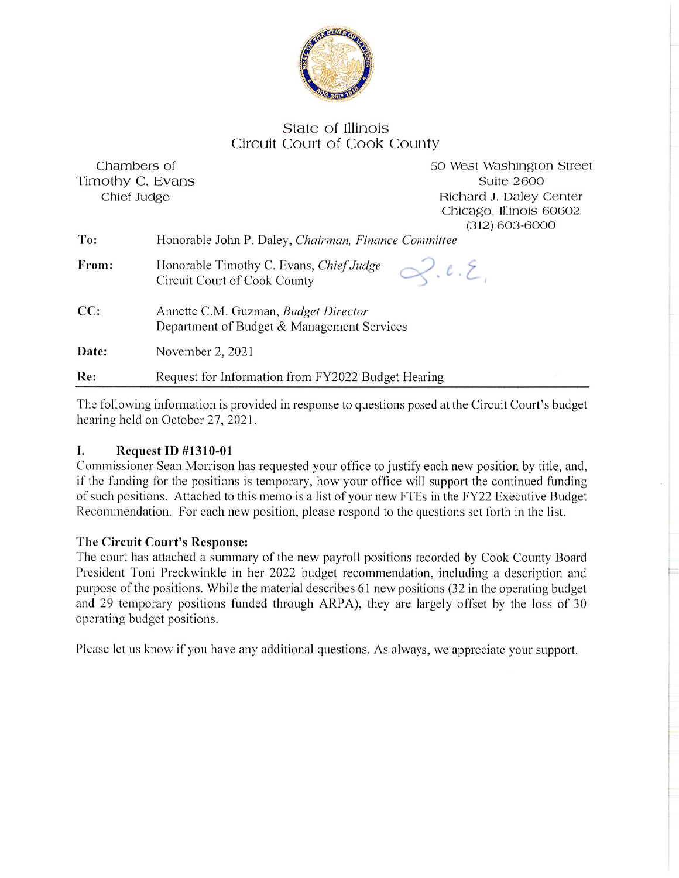

## State of Illinois Circuit Court of Cook County

| Re:              | Request for Information from FY2022 Budget Hearing                                 |  |
|------------------|------------------------------------------------------------------------------------|--|
| Date:            | November 2, 2021                                                                   |  |
| CC:              | Annette C.M. Guzman, Budget Director<br>Department of Budget & Management Services |  |
| From:            | 2.1.2<br>Honorable Timothy C. Evans, Chief Judge<br>Circuit Court of Cook County   |  |
| To:              | Honorable John P. Daley, Chairman, Finance Committee                               |  |
|                  | Chicago, Illinois 60602<br>$(312) 603 - 6000$                                      |  |
| Chief Judge      | Richard J. Daley Center                                                            |  |
| Timothy C. Evans | <b>Suite 2600</b>                                                                  |  |
| Chambers of      | 50 West Washington Street                                                          |  |

The following information is provided in response to questions posed at the Circuit Court's budget hearing held on October 27, 2021.

## I. **Request ID #1310-01**

Commissioner Sean Morrison has requested your office to justify each new position by title, and, if the funding for the positions is temporary, how your office will support the continued funding of such positions. Attached to this memo is a list of your new FTEs in the FY22 Executive Budget Recommendation. For each new position, please respond to the questions set forth in the list.

## The Circuit Court's Response:

The court has attached a summary of the new payroll positions recorded by Cook County Board President Toni Preckwinkle in her 2022 budget recommendation, including a description and purpose of the positions. While the material describes 61 new positions (32 in the operating budget and 29 temporary positions funded through ARPA), they are largely offset by the loss of 30 operating budget positions.

Please let us know if you have any additional questions. As always, we appreciate your support.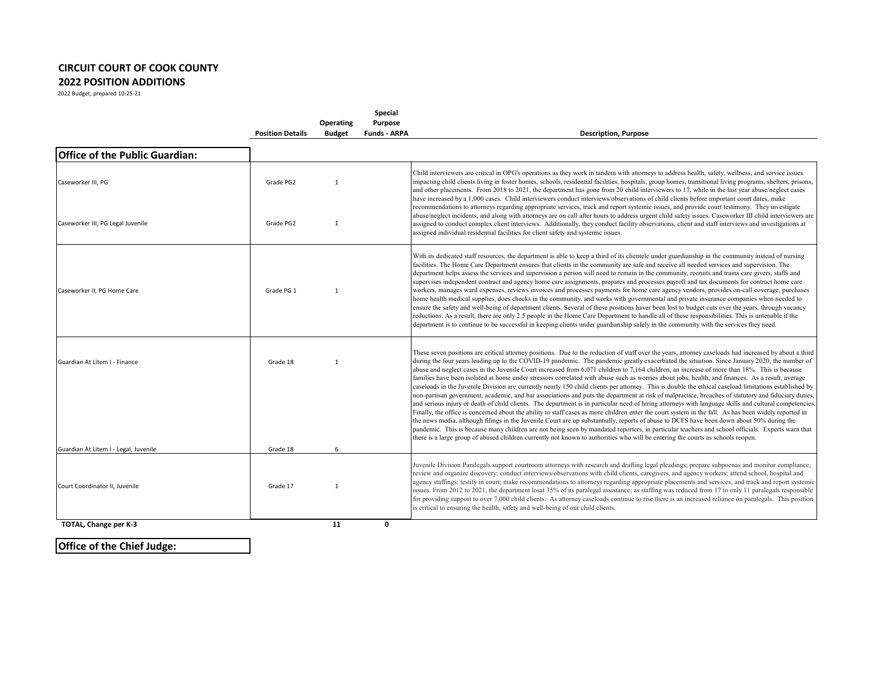## **CIRCUIT COURT OF COOK COUNTY 2022 POSITION ADDITIONS**

2022 Budget, prepared 10-25-21

|                                                                        | <b>Position Details</b> | Operating<br><b>Budget</b> | Special<br>Purpose<br><b>Funds - ARPA</b> | <b>Description, Purpose</b>                                                                                                                                                                                                                                                                                                                                                                                                                                                                                                                                                                                                                                                                                                                                                                                                                                                                                                                                                                                                                                                                                                                                                                                                                                                                                                                                                                                                                                                                                                                                                                                                                                                        |
|------------------------------------------------------------------------|-------------------------|----------------------------|-------------------------------------------|------------------------------------------------------------------------------------------------------------------------------------------------------------------------------------------------------------------------------------------------------------------------------------------------------------------------------------------------------------------------------------------------------------------------------------------------------------------------------------------------------------------------------------------------------------------------------------------------------------------------------------------------------------------------------------------------------------------------------------------------------------------------------------------------------------------------------------------------------------------------------------------------------------------------------------------------------------------------------------------------------------------------------------------------------------------------------------------------------------------------------------------------------------------------------------------------------------------------------------------------------------------------------------------------------------------------------------------------------------------------------------------------------------------------------------------------------------------------------------------------------------------------------------------------------------------------------------------------------------------------------------------------------------------------------------|
| <b>Office of the Public Guardian:</b>                                  |                         |                            |                                           |                                                                                                                                                                                                                                                                                                                                                                                                                                                                                                                                                                                                                                                                                                                                                                                                                                                                                                                                                                                                                                                                                                                                                                                                                                                                                                                                                                                                                                                                                                                                                                                                                                                                                    |
| Caseworker III, PG                                                     | Grade PG2               | -1                         |                                           | Child interviewers are critical in OPG's operations as they work in tandem with attorneys to address health, safety, wellness, and service issues<br>impacting child clients living in foster homes, schools, residential facilities, hospitals, group homes, transitional living programs, shelters, prisons,<br>and other placements. From 2018 to 2021, the department has gone from 20 child interviewers to 17, while in the last year abuse/neglect cases<br>have increased by a 1,000 cases. Child interviewers conduct interviews/observations of child clients before important court dates, make<br>recommendations to attorneys regarding appropriate services, track and report systemic issues, and provide court testimony. They investigate                                                                                                                                                                                                                                                                                                                                                                                                                                                                                                                                                                                                                                                                                                                                                                                                                                                                                                                         |
| Caseworker III, PG Legal Juvenile                                      | Grade PG2               | $\mathbf{1}$               |                                           | abuse/neglect incidents, and along with attorneys are on call after hours to address urgent child safety issues. Caseworker III child interviewers are<br>assigned to conduct complex client interviews. Additionally, they conduct facility observations, client and staff interviews and investigations at<br>assigned individual residential facilities for client safety and systemic issues.                                                                                                                                                                                                                                                                                                                                                                                                                                                                                                                                                                                                                                                                                                                                                                                                                                                                                                                                                                                                                                                                                                                                                                                                                                                                                  |
| Caseworker II, PG Home Care                                            | Grade PG 1              | -1                         |                                           | With its dedicated staff resources, the department is able to keep a third of its clientele under guardianship in the community instead of nursing<br>facilities. The Home Care Department ensures that clients in the community are safe and receive all needed services and supervision. The<br>department helps assess the services and supervision a person will need to remain in the community, recruits and trains care givers, staffs and<br>supervises independent contract and agency home care assignments, prepares and processes payroll and tax documents for contract home care<br>workers, manages ward expenses, reviews invoices and processes payments for home care agency vendors, provides on-call coverage, purchases<br>home health medical supplies, does checks in the community, and works with governmental and private insurance companies when needed to<br>ensure the safety and well-being of department clients. Several of these positions haver been lost to budget cuts over the years, through vacancy<br>reductions. As a result, there are only 2.5 people in the Home Care Department to handle all of these responsibilities. This is untenable if the<br>department is to continue to be successful in keeping clients under guardianship safely in the community with the services they need.                                                                                                                                                                                                                                                                                                                                           |
| Guardian At Litem I - Finance<br>Guardian At Litem I - Legal, Juvenile | Grade 18<br>Grade 18    | $\mathbf{1}$<br>6          |                                           | These seven positions are critical attorney positions. Due to the reduction of staff over the years, attorney caseloads had increased by about a third<br>during the four years leading up to the COVID-19 pandemic. The pandemic greatly exacerbated the situation. Since January 2020, the number of<br>abuse and neglect cases in the Juvenile Court increased from 6,071 children to 7,164 children, an increase of more than 18%. This is because<br>families have been isolated at home under stressors correlated with abuse such as worries about jobs, health, and finances. As a result, average<br>caseloads in the Juvenile Division are currently nearly 150 child clients per attorney. This is double the ethical caseload limitations established by<br>non-partisan government, academic, and bar associations and puts the department at risk of malpractice, breaches of statutory and fiduciary duties,<br>and serious injury or death of child clients. The department is in particular need of hiring attorneys with language skills and cultural competencies.<br>Finally, the office is concerned about the ability to staff cases as more children enter the court system in the fall. As has been widely reported in<br>the news media, although filings in the Juvenile Court are up substantially, reports of abuse to DCFS have been down about 50% during the<br>pandemic. This is because many children are not being seen by mandated reporters, in particular teachers and school officials. Experts warn that<br>there is a large group of abused children currently not known to authorities who will be entering the courts as schools reopen. |
|                                                                        |                         |                            |                                           | Juvenile Division Paralegals support courtroom attorneys with research and drafting legal pleadings; prepare subpoenas and monitor compliance;                                                                                                                                                                                                                                                                                                                                                                                                                                                                                                                                                                                                                                                                                                                                                                                                                                                                                                                                                                                                                                                                                                                                                                                                                                                                                                                                                                                                                                                                                                                                     |
| Court Coordinator II, Juvenile                                         | Grade 17                | $\mathbf{1}$               |                                           | review and organize discovery; conduct interviews/observations with child clients, caregivers, and agency workers; attend school, hospital and<br>agency staffings; testify in court; make recommendations to attorneys regarding appropriate placements and services, and track and report systemic<br>issues. From 2012 to 2021, the department losat 35% of its paralegal assistance; as staffing was reduced from 17 to only 11 paralegals responsible<br>for providing support to over 7,000 child clients. As attorney caseloads continue to rise there is an increased reliance on paralegals. This position<br>is critical to ensuring the health, safety and well-being of our child clients.                                                                                                                                                                                                                                                                                                                                                                                                                                                                                                                                                                                                                                                                                                                                                                                                                                                                                                                                                                             |

 **TOTAL, Change per K-3 11 0**

**Office of the Chief Judge:**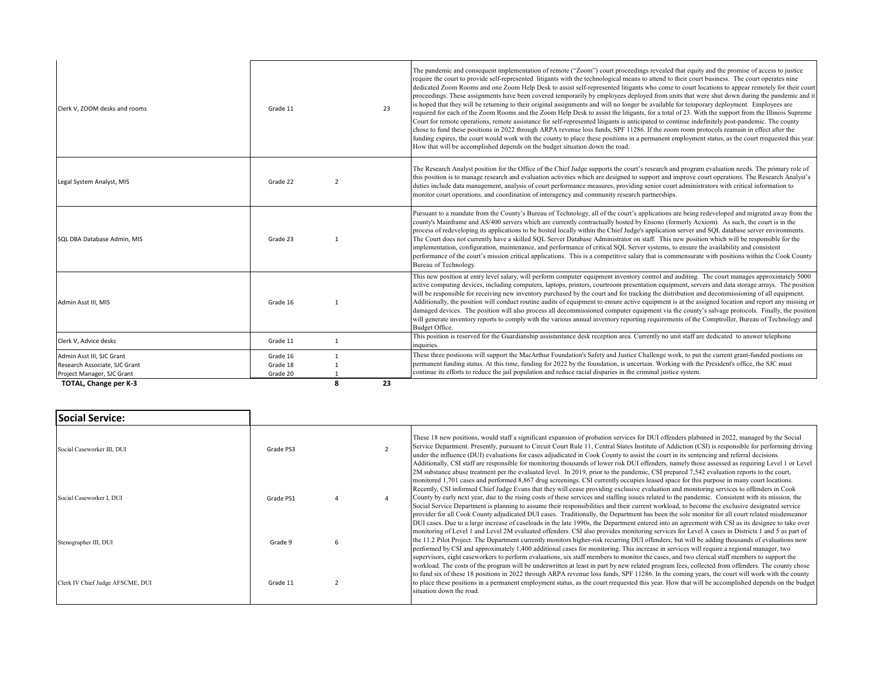| Clerk V, ZOOM desks and rooms                                                            | Grade 11                         |                | 23 | The pandemic and consequent implementation of remote ("Zoom") court proceedings revealed that equity and the promise of access to justice<br>require the court to provide self-represented litigants with the technological means to attend to their court business. The court operates nine<br>dedicated Zoom Rooms and one Zoom Help Desk to assist self-represented litigants who come to court locations to appear remotely for their court<br>proceedings. These assignments have been covered temporarily by employees deployed from units that were shut down during the pandemic and it<br>is hoped that they will be returning to their original assignments and will no longer be available for temporary deployment. Employees are<br>required for each of the Zoom Rooms and the Zoom Help Desk to assist the litigants, for a total of 23. With the support from the Illinois Supreme<br>Court for remote operations, remote assistance for self-represented litigants is anticipated to continue indefinitely post-pandemic. The county<br>chose to fund these positions in 2022 through ARPA revenue loss funds, SPF 11286. If the zoom room protocols reamain in effect after the<br>funding expires, the court would work with the county to place these positions in a permanent employment status, as the court rrequested this year.<br>How that will be accomplished depends on the budget situation down the road. |
|------------------------------------------------------------------------------------------|----------------------------------|----------------|----|------------------------------------------------------------------------------------------------------------------------------------------------------------------------------------------------------------------------------------------------------------------------------------------------------------------------------------------------------------------------------------------------------------------------------------------------------------------------------------------------------------------------------------------------------------------------------------------------------------------------------------------------------------------------------------------------------------------------------------------------------------------------------------------------------------------------------------------------------------------------------------------------------------------------------------------------------------------------------------------------------------------------------------------------------------------------------------------------------------------------------------------------------------------------------------------------------------------------------------------------------------------------------------------------------------------------------------------------------------------------------------------------------------------------------------------|
| Legal System Analyst, MIS                                                                | Grade 22                         | $\overline{2}$ |    | The Research Analyst position for the Office of the Chief Judge supports the court's research and program evaluation needs. The primary role of<br>this position is to manage research and evaluation activities which are designed to support and improve court operations. The Research Analyst's<br>duties include data management, analysis of court performance measures, providing senior court administrators with critical information to<br>monitor court operations, and coordination of interagency and community research partnerships.                                                                                                                                                                                                                                                                                                                                                                                                                                                                                                                                                                                                                                                                                                                                                                                                                                                                                      |
| SQL DBA Database Admin, MIS                                                              | Grade 23                         | $\mathbf{1}$   |    | Pursuant to a mandate from the County's Bureau of Technology, all of the court's applications are being redeveloped and migrated away from the<br>county's Mainframe and AS/400 servers which are currently contractually hosted by Ensono (formerly Acxiom). As such, the court is in the<br>process of redeveloping its applications to be hosted locally within the Chief Judge's application server and SQL database server environments.<br>The Court does not currently have a skilled SQL Server Database Administrator on staff. This new position which will be responsible for the<br>implementation, configuration, maintenance, and performance of critical SQL Server systems, to ensure the availability and consistent<br>performance of the court's mission critical applications. This is a competitive salary that is commensurate with positions within the Cook County<br>Bureau of Technology.                                                                                                                                                                                                                                                                                                                                                                                                                                                                                                                      |
| Admin Asst III, MIS                                                                      | Grade 16                         | $\mathbf{1}$   |    | This new position at entry level salary, will perform computer equipment inventory control and auditing. The court manages approximately 5000<br>active computing devices, including computers, laptops, printers, courtroom presentation equipment, servers and data storage arrays. The position<br>will be responsible for receiving new inventory purchased by the court and for tracking the distribution and decommissioning of all equipment.<br>Additionally, the position will conduct routine audits of equipment to ensure active equipment is at the assigned location and report any missing or<br>damaged devices. The position will also process all decommissioned computer equipment via the county's salvage protocols. Finally, the position<br>will generate inventory reports to comply with the various annual inventory reporting requirements of the Comptroller, Bureau of Technology and<br>Budget Office.                                                                                                                                                                                                                                                                                                                                                                                                                                                                                                     |
| Clerk V, Advice desks                                                                    | Grade 11                         | $\mathbf{1}$   |    | This position is reserved for the Guardianship assistantance desk reception area. Currently no unit staff are dedicated to answer telephone<br>inquiries.                                                                                                                                                                                                                                                                                                                                                                                                                                                                                                                                                                                                                                                                                                                                                                                                                                                                                                                                                                                                                                                                                                                                                                                                                                                                                |
| Admin Asst III, SJC Grant<br>Research Associate, SJC Grant<br>Project Manager, SJC Grant | Grade 16<br>Grade 18<br>Grade 20 | $\mathbf{1}$   |    | These three postioons will support the MacArthur Foundation's Safety and Justice Challenge work, to put the current grant-funded postions on<br>permanent funding status. At this time, funding for 2022 by the foundation, is uncertain. Working with the President's office, the SJC must<br>continue its efforts to reduce the jail population and reduce racial disparies in the criminal justice system.                                                                                                                                                                                                                                                                                                                                                                                                                                                                                                                                                                                                                                                                                                                                                                                                                                                                                                                                                                                                                            |
| TOTAL, Change per K-3                                                                    |                                  | 8              | 23 |                                                                                                                                                                                                                                                                                                                                                                                                                                                                                                                                                                                                                                                                                                                                                                                                                                                                                                                                                                                                                                                                                                                                                                                                                                                                                                                                                                                                                                          |

| <b>Social Service:</b>           |           |  |                                                                                                                                                                                                                                                                                                                                                                                                                                                                                                                                                                                                                                                                                                                                                                                                                                                                                                    |
|----------------------------------|-----------|--|----------------------------------------------------------------------------------------------------------------------------------------------------------------------------------------------------------------------------------------------------------------------------------------------------------------------------------------------------------------------------------------------------------------------------------------------------------------------------------------------------------------------------------------------------------------------------------------------------------------------------------------------------------------------------------------------------------------------------------------------------------------------------------------------------------------------------------------------------------------------------------------------------|
| Social Caseworker III, DUI       | Grade PS3 |  | These 18 new positions, would staff a significant expansion of probation services for DUI offenders plabnned in 2022, managed by the Social<br>Service Department. Presently, pursuant to Circuit Court Rule 11, Central States Institute of Addiction (CSI) is responsible for performing driving<br>under the influence (DUI) evaluations for cases adjudicated in Cook County to assist the court in its sentencing and referral decisions.<br>Additionally, CSI staff are responsible for monitoring thousands of lower risk DUI offenders, namely those assessed as requiring Level 1 or Level<br>2M substance abuse treatment per the evaluated level. In 2019, prior to the pandemic, CSI prepared 7,542 evaluation reports to the court,                                                                                                                                                   |
| Social Caseworker I, DUI         | Grade PS1 |  | monitored 1,701 cases and performed 8,867 drug screenings. CSI currently occupies leased space for this purpose in many court locations.<br>Recently, CSI informed Chief Judge Evans that they will cease providing exclusive evaluation and monitoring services to offenders in Cook<br>County by early next year, due to the rising costs of these services and staffing issues related to the pandemic. Consistent with its mission, the<br>Social Service Department is planning to assume their responsibilities and their current workload, to become the exclusive designated service<br>provider for all Cook County adjudicated DUI cases. Traditionally, the Department has been the sole monitor for all court related misdemeanor<br>DUI cases. Due to a large increase of caseloads in the late 1990s, the Department entered into an agreement with CSI as its designee to take over |
| Stenographer III, DUI            | Grade 9   |  | monitoring of Level 1 and Level 2M evaluated offenders. CSI also provides monitoring services for Level A cases in Districts 1 and 5 as part of<br>the 11.2 Pilot Project. The Department currently monitors higher-risk recurring DUI offenders; but will be adding thousands of evaluations now<br>performed by CSI and approximately 1,400 additional cases for monitoring. This increase in services will require a regional manager, two<br>supervisors, eight caseworkers to perform evaluations, six staff members to monitor the cases, and two clerical staff members to support the<br>workload. The costs of the program will be underwritten at least in part by new related program fees, collected from offenders. The county chose                                                                                                                                                  |
| Clerk IV Chief Judge AFSCME, DUI | Grade 11  |  | to fund six of these 18 positions in 2022 through ARPA revenue loss funds, SPF 11286. In the coming years, the court will work with the county<br>to place these positions in a permanent employment status, as the court rrequested this year. How that will be accomplished depends on the budget<br>situation down the road.                                                                                                                                                                                                                                                                                                                                                                                                                                                                                                                                                                    |